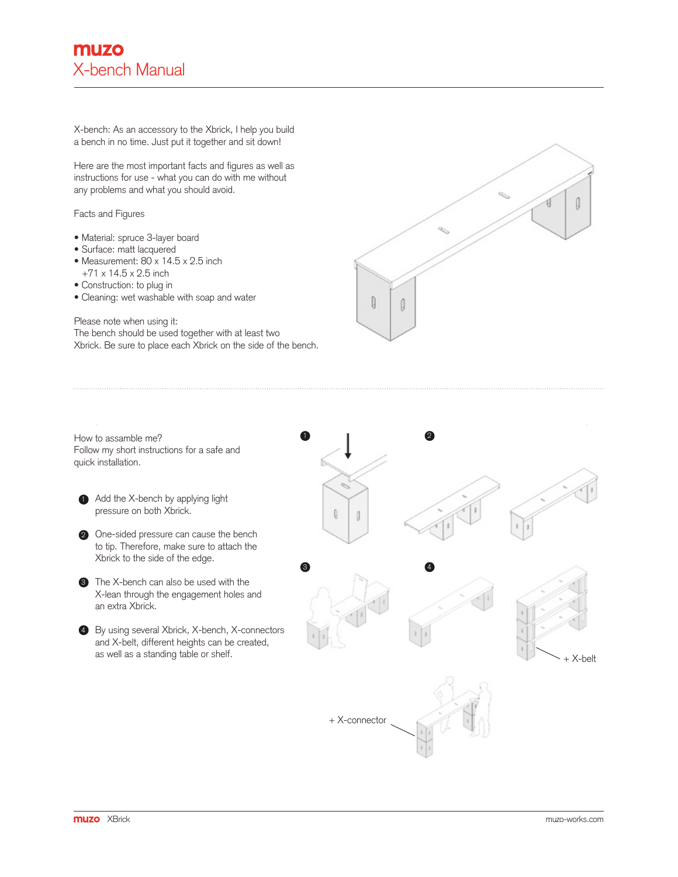X-bench: As an accessory to the Xbrick, I help you build a bench in no time. Just put it together and sit down!

Here are the most important facts and figures as well as instructions for use - what you can do with me without any problems and what you should avoid.

## Facts and Figures

- Material: spruce 3-layer board
- Surface: matt lacquered
- Measurement:  $80 \times 14.5 \times 2.5$  inch  $+71 \times 14.5 \times 2.5$  inch
- Construction: to plug in
- Cleaning: wet washable with soap and water

## Please note when using it:

The bench should be used together with at least two Xbrick. Be sure to place each Xbrick on the side of the bench.

How to assamble me? Follow my short instructions for a safe and quick installation.

- 1 Add the X-bench by applying light pressure on both Xbrick.
- 2 One-sided pressure can cause the bench to tip. Therefore, make sure to attach the Xbrick to the side of the edge.
- **3** The X-bench can also be used with the X-lean through the engagement holes and an extra Xbrick.

4 By using several Xbrick, X-bench, X-connectors and X-belt, different heights can be created, as well as a standing table or shelf.